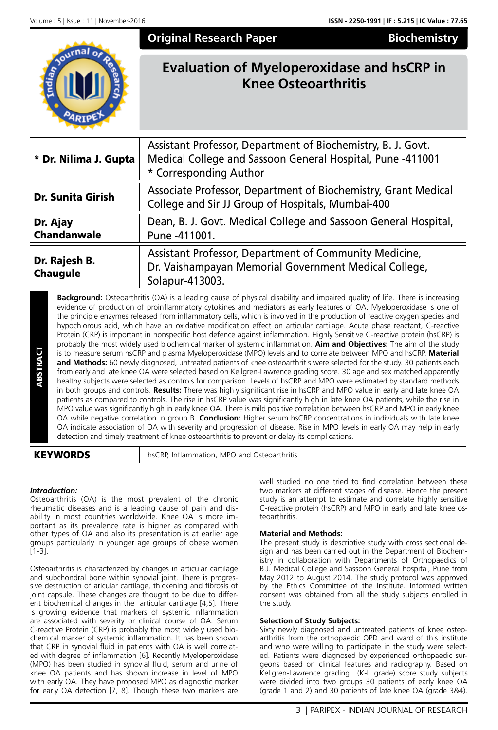## **Original Research Paper Biochemistry**



# **Evaluation of Myeloperoxidase and hsCRP in Knee Osteoarthritis**

| * Dr. Nilima J. Gupta            | Assistant Professor, Department of Biochemistry, B. J. Govt.<br>Medical College and Sassoon General Hospital, Pune -411001<br>* Corresponding Author |  |  |  |
|----------------------------------|------------------------------------------------------------------------------------------------------------------------------------------------------|--|--|--|
| <b>Dr. Sunita Girish</b>         | Associate Professor, Department of Biochemistry, Grant Medical<br>College and Sir JJ Group of Hospitals, Mumbai-400                                  |  |  |  |
| Dr. Ajay<br><b>Chandanwale</b>   | Dean, B. J. Govt. Medical College and Sassoon General Hospital,<br>Pune -411001.                                                                     |  |  |  |
| Dr. Rajesh B.<br><b>Chaugule</b> | Assistant Professor, Department of Community Medicine,<br>Dr. Vaishampayan Memorial Government Medical College,<br>Solapur-413003.                   |  |  |  |

It is to measure serum hsCRP and plasma Myeloperoxidase (MPO) levels and **and Methods:** 60 newly diagnosed, untreated patients of knee osteoartherm early and late knee OA were selected based on Kellgren-Lawrence ghealthy s **Background:** Osteoarthritis (OA) is a leading cause of physical disability and impaired quality of life. There is increasing evidence of production of proinflammatory cytokines and mediators as early features of OA. Myeloperoxidase is one of the principle enzymes released from inflammatory cells, which is involved in the production of reactive oxygen species and hypochlorous acid, which have an oxidative modification effect on articular cartilage. Acute phase reactant, C-reactive Protein (CRP) is important in nonspecific host defence against inflammation. Highly Sensitive C-reactive protein (hsCRP) is probably the most widely used biochemical marker of systemic inflammation. **Aim and Objectives:** The aim of the study is to measure serum hsCRP and plasma Myeloperoxidase (MPO) levels and to correlate between MPO and hsCRP. **Material and Methods:** 60 newly diagnosed, untreated patients of knee osteoarthritis were selected for the study. 30 patients each from early and late knee OA were selected based on Kellgren-Lawrence grading score. 30 age and sex matched apparently healthy subjects were selected as controls for comparison. Levels of hsCRP and MPO were estimated by standard methods in both groups and controls. **Results:** There was highly significant rise in hsCRP and MPO value in early and late knee OA patients as compared to controls. The rise in hsCRP value was significantly high in late knee OA patients, while the rise in MPO value was significantly high in early knee OA. There is mild positive correlation between hsCRP and MPO in early knee OA while negative correlation in group B. **Conclusion:** Higher serum hsCRP concentrations in individuals with late knee OA indicate association of OA with severity and progression of disease. Rise in MPO levels in early OA may help in early detection and timely treatment of knee osteoarthritis to prevent or delay its complications.

### *Introduction:*

Osteoarthritis (OA) is the most prevalent of the chronic rheumatic diseases and is a leading cause of pain and disability in most countries worldwide. Knee OA is more important as its prevalence rate is higher as compared with other types of OA and also its presentation is at earlier age groups particularly in younger age groups of obese women [1-3].

Osteoarthritis is characterized by changes in articular cartilage and subchondral bone within synovial joint. There is progressive destruction of aricular cartilage, thickening and fibrosis of joint capsule. These changes are thought to be due to different biochemical changes in the articular cartilage [4,5]. There is growing evidence that markers of systemic inflammation are associated with severity or clinical course of OA. Serum C-reactive Protein (CRP) is probably the most widely used biochemical marker of systemic inflammation. It has been shown that CRP in synovial fluid in patients with OA is well correlated with degree of inflammation [6]. Recently Myeloperoxidase (MPO) has been studied in synovial fluid, serum and urine of knee OA patients and has shown increase in level of MPO with early OA. They have proposed MPO as diagnostic marker for early OA detection [7, 8]. Though these two markers are well studied no one tried to find correlation between these two markers at different stages of disease. Hence the present study is an attempt to estimate and correlate highly sensitive C-reactive protein (hsCRP) and MPO in early and late knee osteoarthritis.

#### **Material and Methods:**

The present study is descriptive study with cross sectional design and has been carried out in the Department of Biochemistry in collaboration with Departments of Orthopaedics of B.J. Medical College and Sassoon General hospital, Pune from May 2012 to August 2014. The study protocol was approved by the Ethics Committee of the Institute. Informed written consent was obtained from all the study subjects enrolled in the study.

#### **Selection of Study Subjects:**

Sixty newly diagnosed and untreated patients of knee osteoarthritis from the orthopaedic OPD and ward of this institute and who were willing to participate in the study were selected. Patients were diagnosed by experienced orthopaedic surgeons based on clinical features and radiography. Based on Kellgren-Lawrence grading (K-L grade) score study subjects were divided into two groups 30 patients of early knee OA (grade 1 and 2) and 30 patients of late knee OA (grade 3&4).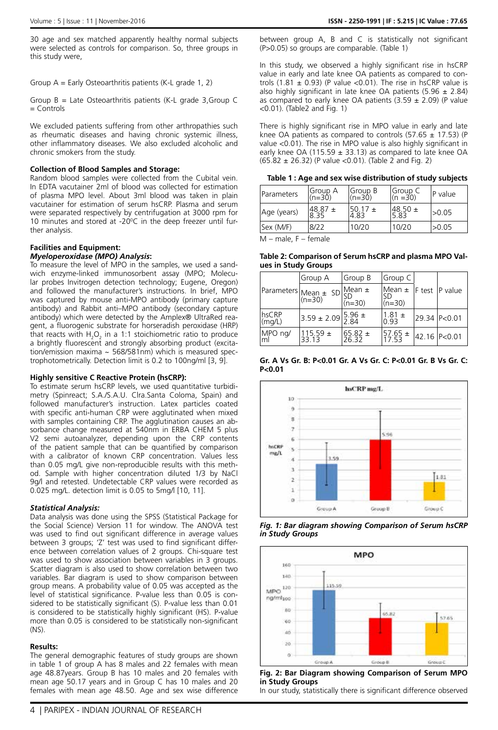30 age and sex matched apparently healthy normal subjects were selected as controls for comparison. So, three groups in this study were,

Group A = Early Osteoarthritis patients (K-L grade 1, 2)

Group  $B =$  Late Osteoarthritis patients (K-L grade 3, Group C = Controls

We excluded patients suffering from other arthropathies such as rheumatic diseases and having chronic systemic illness, other inflammatory diseases. We also excluded alcoholic and chronic smokers from the study.

#### **Collection of Blood Samples and Storage:**

Random blood samples were collected from the Cubital vein. In EDTA vacutainer 2ml of blood was collected for estimation of plasma MPO level. About 3ml blood was taken in plain vacutainer for estimation of serum hsCRP. Plasma and serum were separated respectively by centrifugation at 3000 rpm for 10 minutes and stored at -20°C in the deep freezer until further analysis.

#### **Facilities and Equipment:**

#### *Myeloperoxidase (MPO) Analysis***:**

To measure the level of MPO in the samples, we used a sandwich enzyme-linked immunosorbent assay (MPO; Molecular probes Invitrogen detection technology; Eugene, Oregon) and followed the manufacturer's instructions. In brief, MPO was captured by mouse anti-MPO antibody (primary capture antibody) and Rabbit anti–MPO antibody (secondary capture antibody) which were detected by the Amplex® UltraRed reagent, a fluorogenic substrate for horseradish peroxidase (HRP) that reacts with  $H_2O_2$  in a 1:1 stoichiometric ratio to produce a brightly fluorescent and strongly absorbing product (excitation/emission maxima  $\sim$  568/581nm) which is measured spectrophotometrically. Detection limit is 0.2 to 100ng/ml [3, 9].

#### **Highly sensitive C Reactive Protein (hsCRP):**

To estimate serum hsCRP levels, we used quantitative turbidimetry (Spinreact; S.A./S.A.U. Clra.Santa Coloma, Spain) and followed manufacturer's instruction. Latex particles coated with specific anti-human CRP were agglutinated when mixed with samples containing CRP. The agglutination causes an absorbance change measured at 540nm in ERBA CHEM 5 plus V2 semi autoanalyzer, depending upon the CRP contents of the patient sample that can be quantified by comparison with a calibrator of known CRP concentration. Values less than 0.05 mg/L give non-reproducible results with this method. Sample with higher concentration diluted 1/3 by NaCl 9g/l and retested. Undetectable CRP values were recorded as 0.025 mg/L. detection limit is 0.05 to 5mg/l [10, 11].

#### *Statistical Analysis:*

Data analysis was done using the SPSS (Statistical Package for the Social Science) Version 11 for window. The ANOVA test was used to find out significant difference in average values between 3 groups; 'Z' test was used to find significant difference between correlation values of 2 groups. Chi-square test was used to show association between variables in 3 groups. Scatter diagram is also used to show correlation between two variables. Bar diagram is used to show comparison between group means. A probability value of 0.05 was accepted as the level of statistical significance. P-value less than 0.05 is considered to be statistically significant (S). P-value less than 0.01 is considered to be statistically highly significant (HS). P-value more than 0.05 is considered to be statistically non-significant (NS).

#### **Results:**

The general demographic features of study groups are shown in table 1 of group A has 8 males and 22 females with mean age 48.87years. Group B has 10 males and 20 females with mean age 50.17 years and in Group C has 10 males and 20 females with mean age 48.50. Age and sex wise difference

between group A, B and C is statistically not significant (P>0.05) so groups are comparable. (Table 1)

In this study, we observed a highly significant rise in hsCRP value in early and late knee OA patients as compared to controls (1.81  $\pm$  0.93) (P value <0.01). The rise in hsCRP value is also highly significant in late knee OA patients  $(5.96 \pm 2.84)$ as compared to early knee OA patients  $(3.59 \pm 2.09)$  (P value <0.01). (Table2 and Fig. 1)

There is highly significant rise in MPO value in early and late knee OA patients as compared to controls (57.65  $\pm$  17.53) (P value <0.01). The rise in MPO value is also highly significant in early knee OA (115.59  $\pm$  33.13) as compared to late knee OA (65.82 ± 26.32) (P value <0.01). (Table 2 and Fig. 2)

 **Table 1 : Age and sex wise distribution of study subjects**

| <b>IParameters</b>              | Group A<br>$(n=30)$ | Group B<br>$(n=30)$ | Group C<br>(n =30) | P value |
|---------------------------------|---------------------|---------------------|--------------------|---------|
| Age (years)                     | $48.87 \pm$<br>8.35 | $50.17 \pm$<br>4.83 | l48.50 ±<br>5.83   | >0.05   |
| Sex (M/F)                       | 8/22                | 10/20               | 10/20              | >0.05   |
| . .<br>$\overline{\phantom{0}}$ |                     |                     |                    |         |

M – male, F – female

**Table 2: Comparison of Serum hsCRP and plasma MPO Values in Study Groups**

|                           | Group A                                                                         | Group B              | Group C                                       |              |
|---------------------------|---------------------------------------------------------------------------------|----------------------|-----------------------------------------------|--------------|
|                           | Parameters Mean ± SD Mean ±<br>$(n=30)$                                         | SD<br>$(n=30)$       | Mean $\pm$  F test  P value<br>SD<br>$(n=30)$ |              |
| hsCRP<br>$\langle$ (mg/L) | $\frac{1}{3.59 \pm 2.09}$ $\begin{bmatrix} 5.96 \pm 2.09 \\ 2.84 \end{bmatrix}$ |                      | $1.81 \pm$<br>0.93                            | 29.34 P<0.01 |
| MPO ng/<br>lml            | 115.59 $\pm$<br>33.13                                                           | $65.82 \pm$<br>26.32 | 57.65 $\pm$<br>17.53                          | 42.16 P<0.01 |

**Gr. A Vs Gr. B: P<0.01 Gr. A Vs Gr. C: P<0.01 Gr. B Vs Gr. C: P<0.01**







**Fig. 2: Bar Diagram showing Comparison of Serum MPO in Study Groups** In our study, statistically there is significant difference observed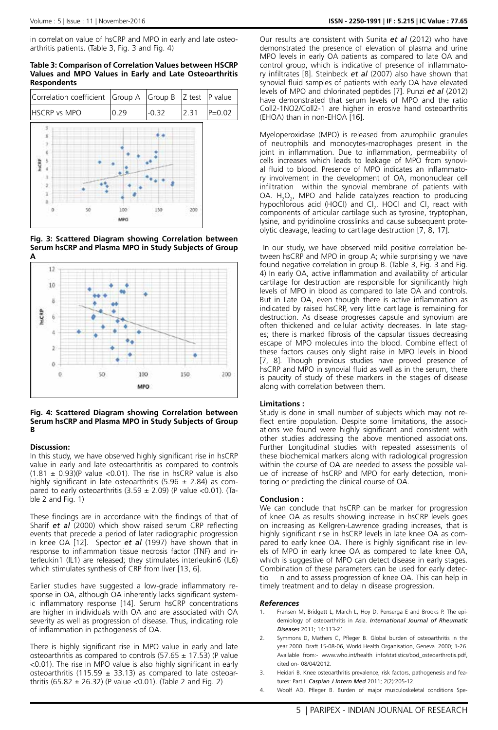in correlation value of hsCRP and MPO in early and late osteoarthritis patients. (Table 3, Fig. 3 and Fig. 4)

#### **Table 3: Comparison of Correlation Values between HSCRP Values and MPO Values in Early and Late Osteoarthritis Respondents**







#### **Fig. 4: Scattered Diagram showing Correlation between Serum hsCRP and Plasma MPO in Study Subjects of Group B**

#### **Discussion:**

In this study, we have observed highly significant rise in hsCRP value in early and late osteoarthritis as compared to controls  $(1.81 \pm 0.93)(P$  value <0.01). The rise in hsCRP value is also highly significant in late osteoarthritis (5.96  $\pm$  2.84) as compared to early osteoarthritis  $(3.59 \pm 2.09)$  (P value <0.01). (Table 2 and Fig. 1)

These findings are in accordance with the findings of that of Sharif *et al* (2000) which show raised serum CRP reflecting events that precede a period of later radiographic progression in knee OA [12]. Spector *et al* (1997) have shown that in response to inflammation tissue necrosis factor (TNF) and interleukin1 (IL1) are released; they stimulates interleukin6 (IL6) which stimulates synthesis of CRP from liver [13, 6].

Earlier studies have suggested a low-grade inflammatory response in OA, although OA inherently lacks significant systemic inflammatory response [14]. Serum hsCRP concentrations are higher in individuals with OA and are associated with OA severity as well as progression of disease. Thus, indicating role of inflammation in pathogenesis of OA.

There is highly significant rise in MPO value in early and late osteoarthritis as compared to controls (57.65  $\pm$  17.53) (P value <0.01). The rise in MPO value is also highly significant in early osteoarthritis (115.59  $\pm$  33.13) as compared to late osteoarthritis (65.82  $\pm$  26.32) (P value <0.01). (Table 2 and Fig. 2)

Our results are consistent with Sunita *et al* (2012) who have demonstrated the presence of elevation of plasma and urine MPO levels in early OA patients as compared to late OA and control group, which is indicative of presence of inflammatory infiltrates [8]. Steinbeck *et al* (2007) also have shown that synovial fluid samples of patients with early OA have elevated levels of MPO and chlorinated peptides [7]. Punzi *et al* (2012) have demonstrated that serum levels of MPO and the ratio Coll2-1NO2/Coll2-1 are higher in erosive hand osteoarthritis (EHOA) than in non-EHOA [16].

Myeloperoxidase (MPO) is released from azurophilic granules of neutrophils and monocytes-macrophages present in the joint in inflammation. Due to inflammation, permeability of cells increases which leads to leakage of MPO from synovial fluid to blood. Presence of MPO indicates an inflammatory involvement in the development of OA, mononuclear cell infiltration within the synovial membrane of patients with OA.  $H_2O_2$ , MPO and halide catalyzes reaction to producing hypochlorous acid (HOCl) and  $Cl_2$ . HOCl and  $Cl_2$  react with components of articular cartilage such as tyrosine, tryptophan, lysine, and pyridinoline crosslinks and cause subsequent proteolytic cleavage, leading to cartilage destruction [7, 8, 17].

 In our study, we have observed mild positive correlation between hsCRP and MPO in group A; while surprisingly we have found negative correlation in group B. (Table 3, Fig. 3 and Fig. 4) In early OA, active inflammation and availability of articular cartilage for destruction are responsible for significantly high levels of MPO in blood as compared to late OA and controls. But in Late OA, even though there is active inflammation as indicated by raised hsCRP, very little cartilage is remaining for destruction. As disease progresses capsule and synovium are often thickened and cellular activity decreases. In late stages; there is marked fibrosis of the capsular tissues decreasing escape of MPO molecules into the blood. Combine effect of these factors causes only slight raise in MPO levels in blood [7, 8]. Though previous studies have proved presence of hsCRP and MPO in synovial fluid as well as in the serum, there is paucity of study of these markers in the stages of disease along with correlation between them.

#### **Limitations :**

Study is done in small number of subjects which may not reflect entire population. Despite some limitations, the associations we found were highly significant and consistent with other studies addressing the above mentioned associations. Further Longitudinal studies with repeated assessments of these biochemical markers along with radiological progression within the course of OA are needed to assess the possible value of increase of hsCRP and MPO for early detection, monitoring or predicting the clinical course of OA.

#### **Conclusion :**

We can conclude that hsCRP can be marker for progression of knee OA as results showing increase in hsCRP levels goes on increasing as Kellgren-Lawrence grading increases, that is highly significant rise in hsCRP levels in late knee OA as compared to early knee OA. There is highly significant rise in levels of MPO in early knee OA as compared to late knee OA, which is suggestive of MPO can detect disease in early stages. Combination of these parameters can be used for early detectio n and to assess progression of knee OA. This can help in timely treatment and to delay in disease progression.

#### *References*

- Fransen M, Bridgett L, March L, Hoy D, Penserga E and Brooks P. The epidemiology of osteoarthritis in Asia. *International Journal of Rheumatic Diseases* 2011; 14:113-21.
- Symmons D, Mathers C, Pfleger B. Global burden of osteoarthritis in the year 2000. Draft 15-08-06, World Health Organisation, Geneva. 2000; 1-26. Available from:- www.who.int/health info/statistics/bod\_osteoarthrotis.pdf, cited on- 08/04/2012.
- 3. Heidari B. Knee osteoarthritis prevalence, risk factors, pathogenesis and features: Part I. *Caspian J Intern Med* 2011; 2(2):205-12.
- 4. Woolf AD, Pfleger B. Burden of major musculoskeletal conditions Spe-